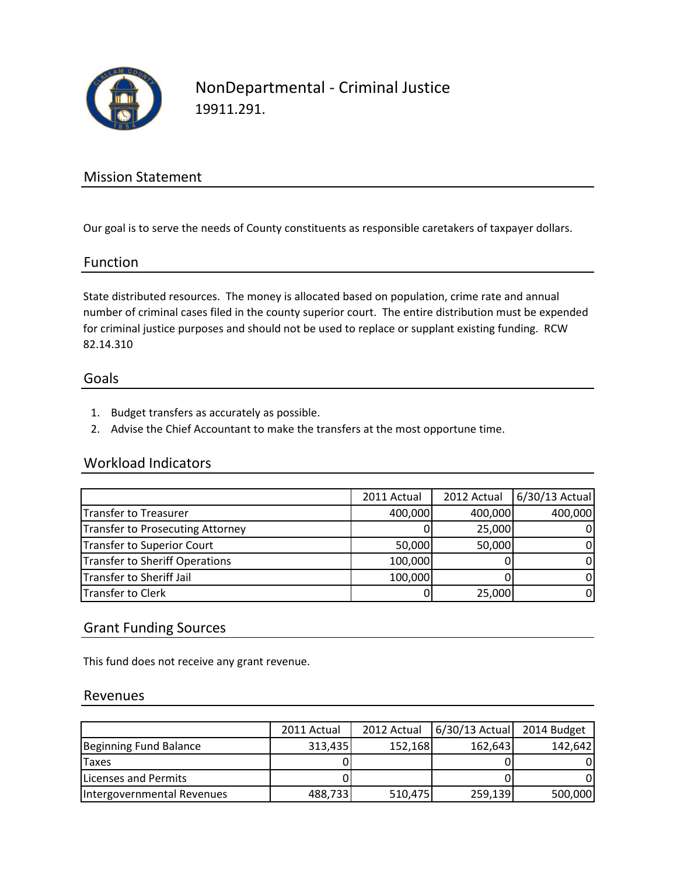

NonDepartmental - Criminal Justice 19911.291.

# Mission Statement

Our goal is to serve the needs of County constituents as responsible caretakers of taxpayer dollars.

### Function

State distributed resources. The money is allocated based on population, crime rate and annual number of criminal cases filed in the county superior court. The entire distribution must be expended for criminal justice purposes and should not be used to replace or supplant existing funding. RCW 82.14.310

#### Goals

- 1. Budget transfers as accurately as possible.
- 2. Advise the Chief Accountant to make the transfers at the most opportune time.

#### Workload Indicators

|                                  | 2011 Actual | 2012 Actual | 6/30/13 Actual |
|----------------------------------|-------------|-------------|----------------|
| Transfer to Treasurer            | 400,000     | 400,000     | 400,000        |
| Transfer to Prosecuting Attorney |             | 25,000      |                |
| Transfer to Superior Court       | 50,000      | 50,000      | ΟI             |
| Transfer to Sheriff Operations   | 100,000     |             | 01             |
| Transfer to Sheriff Jail         | 100,000     |             | ΩI             |
| Transfer to Clerk                |             | 25,000      | 01             |

## Grant Funding Sources

This fund does not receive any grant revenue.

#### Revenues

|                            | 2011 Actual | 2012 Actual | $6/30/13$ Actual | 2014 Budget |
|----------------------------|-------------|-------------|------------------|-------------|
| Beginning Fund Balance     | 313,435     | 152,168     | 162,643          | 142,642     |
| <b>Taxes</b>               |             |             |                  |             |
| Licenses and Permits       |             |             |                  |             |
| Intergovernmental Revenues | 488,733     | 510,475     | 259,139          | 500,000     |